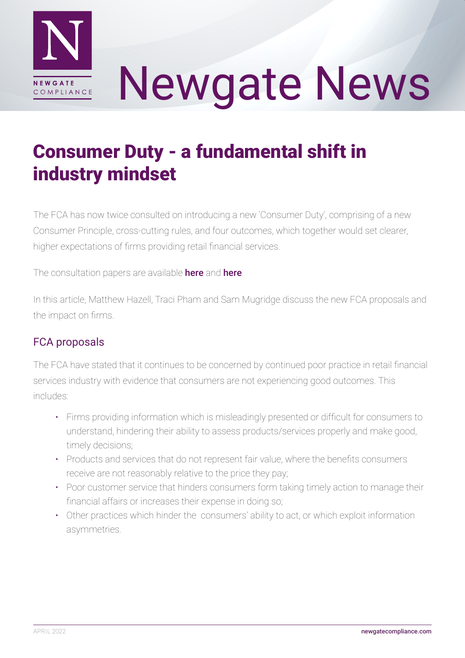

# Newgate News

# Consumer Duty - a fundamental shift in industry mindset

The FCA has now twice consulted on introducing a new 'Consumer Duty', comprising of a new Consumer Principle, cross-cutting rules, and four outcomes, which together would set clearer, higher expectations of firms providing retail financial services.

The consultation papers are available [here](https://www.fca.org.uk/publication/consultation/cp21-36.pdf) and here.

In this article, Matthew Hazell, Traci Pham and Sam Mugridge discuss the new FCA proposals and the impact on firms.

# FCA proposals

The FCA have stated that it continues to be concerned by continued poor practice in retail financial services industry with evidence that consumers are not experiencing good outcomes. This includes:

- Firms providing information which is misleadingly presented or difficult for consumers to understand, hindering their ability to assess products/services properly and make good, timely decisions;
- Products and services that do not represent fair value, where the benefits consumers receive are not reasonably relative to the price they pay;
- Poor customer service that hinders consumers form taking timely action to manage their financial affairs or increases their expense in doing so;
- Other practices which hinder the consumers' ability to act, or which exploit information asymmetries.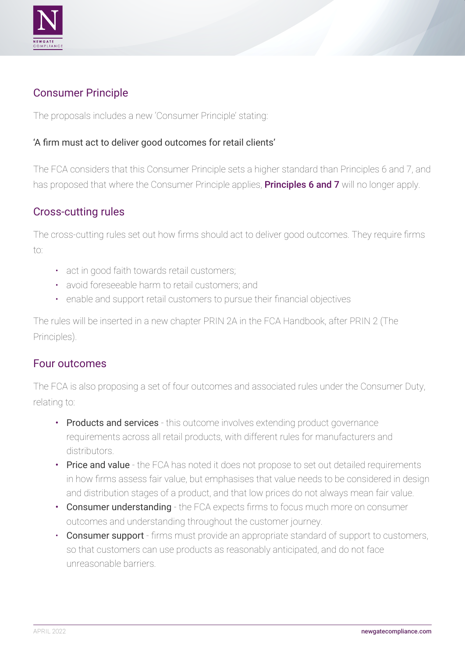

### Consumer Principle

The proposals includes a new 'Consumer Principle' stating:

#### 'A firm must act to deliver good outcomes for retail clients'

The FCA considers that this Consumer Principle sets a higher standard than Principles 6 and 7, and has proposed that where the Consumer Principle applies, **[Principles 6 and 7](https://www.handbook.fca.org.uk/handbook/PRIN/2/1.html)** will no longer apply.

#### Cross-cutting rules

The cross-cutting rules set out how firms should act to deliver good outcomes. They require firms to:

- act in good faith towards retail customers;
- avoid foreseeable harm to retail customers; and
- enable and support retail customers to pursue their financial objectives

The rules will be inserted in a new chapter PRIN 2A in the FCA Handbook, after PRIN 2 (The Principles).

#### Four outcomes

The FCA is also proposing a set of four outcomes and associated rules under the Consumer Duty, relating to:

- Products and services this outcome involves extending product governance requirements across all retail products, with different rules for manufacturers and distributors.
- Price and value the FCA has noted it does not propose to set out detailed requirements in how firms assess fair value, but emphasises that value needs to be considered in design and distribution stages of a product, and that low prices do not always mean fair value.
- Consumer understanding the FCA expects firms to focus much more on consumer outcomes and understanding throughout the customer journey.
- Consumer support firms must provide an appropriate standard of support to customers, so that customers can use products as reasonably anticipated, and do not face unreasonable barriers.